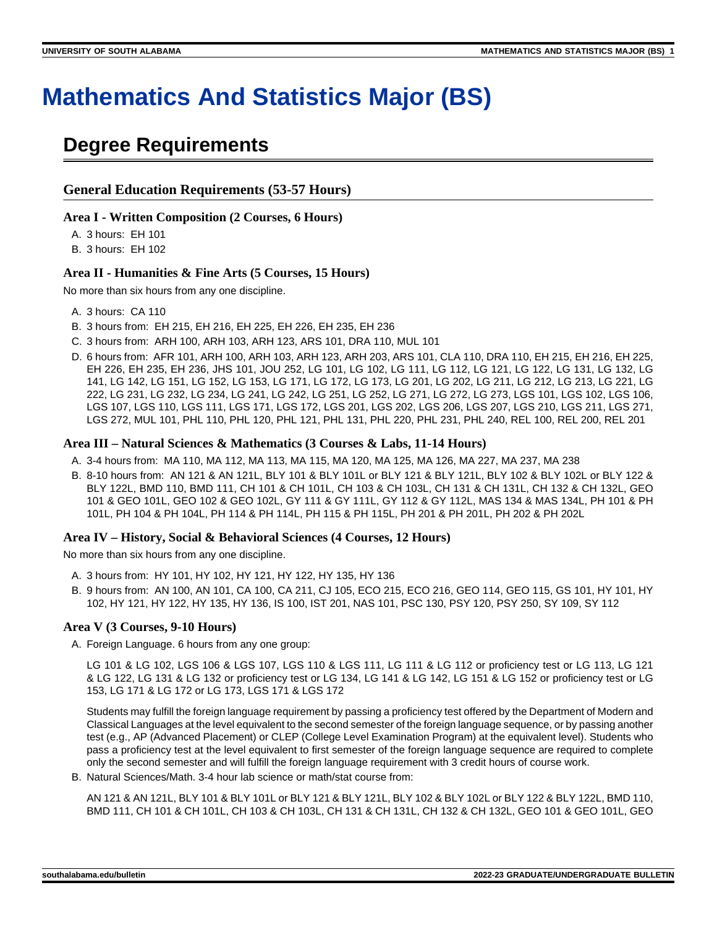# **Mathematics And Statistics Major (BS)**

# **Degree Requirements**

#### **General Education Requirements (53-57 Hours)**

#### **Area I - Written Composition (2 Courses, 6 Hours)**

A. 3 hours: EH 101

B. 3 hours: EH 102

#### **Area II - Humanities & Fine Arts (5 Courses, 15 Hours)**

No more than six hours from any one discipline.

- A. 3 hours: CA 110
- B. 3 hours from: EH 215, EH 216, EH 225, EH 226, EH 235, EH 236
- C. 3 hours from: ARH 100, ARH 103, ARH 123, ARS 101, DRA 110, MUL 101
- D. 6 hours from: AFR 101, ARH 100, ARH 103, ARH 123, ARH 203, ARS 101, CLA 110, DRA 110, EH 215, EH 216, EH 225, EH 226, EH 235, EH 236, JHS 101, JOU 252, LG 101, LG 102, LG 111, LG 112, LG 121, LG 122, LG 131, LG 132, LG 141, LG 142, LG 151, LG 152, LG 153, LG 171, LG 172, LG 173, LG 201, LG 202, LG 211, LG 212, LG 213, LG 221, LG 222, LG 231, LG 232, LG 234, LG 241, LG 242, LG 251, LG 252, LG 271, LG 272, LG 273, LGS 101, LGS 102, LGS 106, LGS 107, LGS 110, LGS 111, LGS 171, LGS 172, LGS 201, LGS 202, LGS 206, LGS 207, LGS 210, LGS 211, LGS 271, LGS 272, MUL 101, PHL 110, PHL 120, PHL 121, PHL 131, PHL 220, PHL 231, PHL 240, REL 100, REL 200, REL 201

#### **Area III – Natural Sciences & Mathematics (3 Courses & Labs, 11-14 Hours)**

- A. 3-4 hours from: MA 110, MA 112, MA 113, MA 115, MA 120, MA 125, MA 126, MA 227, MA 237, MA 238
- B. 8-10 hours from: AN 121 & AN 121L, BLY 101 & BLY 101L or BLY 121 & BLY 121L, BLY 102 & BLY 102L or BLY 122 & BLY 122L, BMD 110, BMD 111, CH 101 & CH 101L, CH 103 & CH 103L, CH 131 & CH 131L, CH 132 & CH 132L, GEO 101 & GEO 101L, GEO 102 & GEO 102L, GY 111 & GY 111L, GY 112 & GY 112L, MAS 134 & MAS 134L, PH 101 & PH 101L, PH 104 & PH 104L, PH 114 & PH 114L, PH 115 & PH 115L, PH 201 & PH 201L, PH 202 & PH 202L

#### **Area IV – History, Social & Behavioral Sciences (4 Courses, 12 Hours)**

No more than six hours from any one discipline.

- A. 3 hours from: HY 101, HY 102, HY 121, HY 122, HY 135, HY 136
- B. 9 hours from: AN 100, AN 101, CA 100, CA 211, CJ 105, ECO 215, ECO 216, GEO 114, GEO 115, GS 101, HY 101, HY 102, HY 121, HY 122, HY 135, HY 136, IS 100, IST 201, NAS 101, PSC 130, PSY 120, PSY 250, SY 109, SY 112

#### **Area V (3 Courses, 9-10 Hours)**

A. Foreign Language. 6 hours from any one group:

LG 101 & LG 102, LGS 106 & LGS 107, LGS 110 & LGS 111, LG 111 & LG 112 or proficiency test or LG 113, LG 121 & LG 122, LG 131 & LG 132 or proficiency test or LG 134, LG 141 & LG 142, LG 151 & LG 152 or proficiency test or LG 153, LG 171 & LG 172 or LG 173, LGS 171 & LGS 172

Students may fulfill the foreign language requirement by passing a proficiency test offered by the Department of Modern and Classical Languages at the level equivalent to the second semester of the foreign language sequence, or by passing another test (e.g., AP (Advanced Placement) or CLEP (College Level Examination Program) at the equivalent level). Students who pass a proficiency test at the level equivalent to first semester of the foreign language sequence are required to complete only the second semester and will fulfill the foreign language requirement with 3 credit hours of course work.

B. Natural Sciences/Math. 3-4 hour lab science or math/stat course from:

AN 121 & AN 121L, BLY 101 & BLY 101L or BLY 121 & BLY 121L, BLY 102 & BLY 102L or BLY 122 & BLY 122L, BMD 110, BMD 111, CH 101 & CH 101L, CH 103 & CH 103L, CH 131 & CH 131L, CH 132 & CH 132L, GEO 101 & GEO 101L, GEO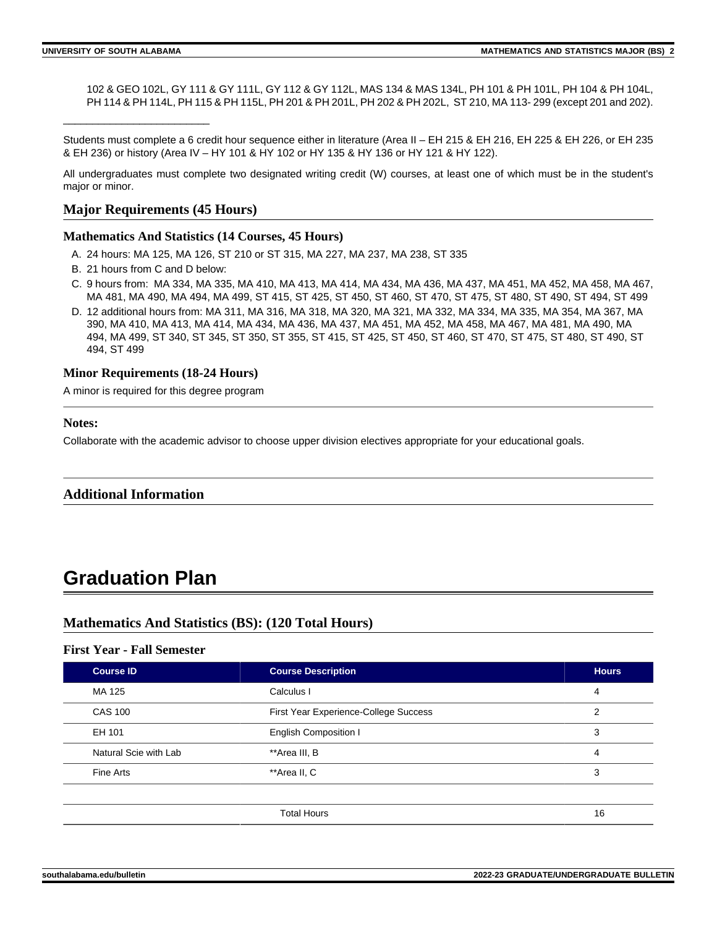\_\_\_\_\_\_\_\_\_\_\_\_\_\_\_\_\_\_\_\_\_\_\_\_\_

102 & GEO 102L, GY 111 & GY 111L, GY 112 & GY 112L, MAS 134 & MAS 134L, PH 101 & PH 101L, PH 104 & PH 104L, PH 114 & PH 114L, PH 115 & PH 115L, PH 201 & PH 201L, PH 202 & PH 202L, ST 210, MA 113-299 (except 201 and 202).

Students must complete a 6 credit hour sequence either in literature (Area II – EH 215 & EH 216, EH 225 & EH 226, or EH 235 & EH 236) or history (Area IV – HY 101 & HY 102 or HY 135 & HY 136 or HY 121 & HY 122).

All undergraduates must complete two designated writing credit (W) courses, at least one of which must be in the student's major or minor.

## **Major Requirements (45 Hours)**

#### **Mathematics And Statistics (14 Courses, 45 Hours)**

- A. 24 hours: MA 125, MA 126, ST 210 or ST 315, MA 227, MA 237, MA 238, ST 335
- B. 21 hours from C and D below:
- C. 9 hours from: MA 334, MA 335, MA 410, MA 413, MA 414, MA 434, MA 436, MA 437, MA 451, MA 452, MA 458, MA 467, MA 481, MA 490, MA 494, MA 499, ST 415, ST 425, ST 450, ST 460, ST 470, ST 475, ST 480, ST 490, ST 494, ST 499
- D. 12 additional hours from: MA 311, MA 316, MA 318, MA 320, MA 321, MA 332, MA 334, MA 335, MA 354, MA 367, MA 390, MA 410, MA 413, MA 414, MA 434, MA 436, MA 437, MA 451, MA 452, MA 458, MA 467, MA 481, MA 490, MA 494, MA 499, ST 340, ST 345, ST 350, ST 355, ST 415, ST 425, ST 450, ST 460, ST 470, ST 475, ST 480, ST 490, ST 494, ST 499

#### **Minor Requirements (18-24 Hours)**

A minor is required for this degree program

#### **Notes:**

Collaborate with the academic advisor to choose upper division electives appropriate for your educational goals.

#### **Additional Information**

# **Graduation Plan**

# **Mathematics And Statistics (BS): (120 Total Hours)**

# **First Year - Fall Semester**

| <b>Course ID</b>      | <b>Course Description</b>             | <b>Hours</b> |
|-----------------------|---------------------------------------|--------------|
| MA 125                | Calculus I                            | 4            |
| <b>CAS 100</b>        | First Year Experience-College Success | 2            |
| EH 101                | <b>English Composition I</b>          | 3            |
| Natural Scie with Lab | **Area III, B                         | 4            |
| Fine Arts             | **Area II, C                          | 3            |
|                       |                                       |              |
|                       | <b>Total Hours</b>                    | 16           |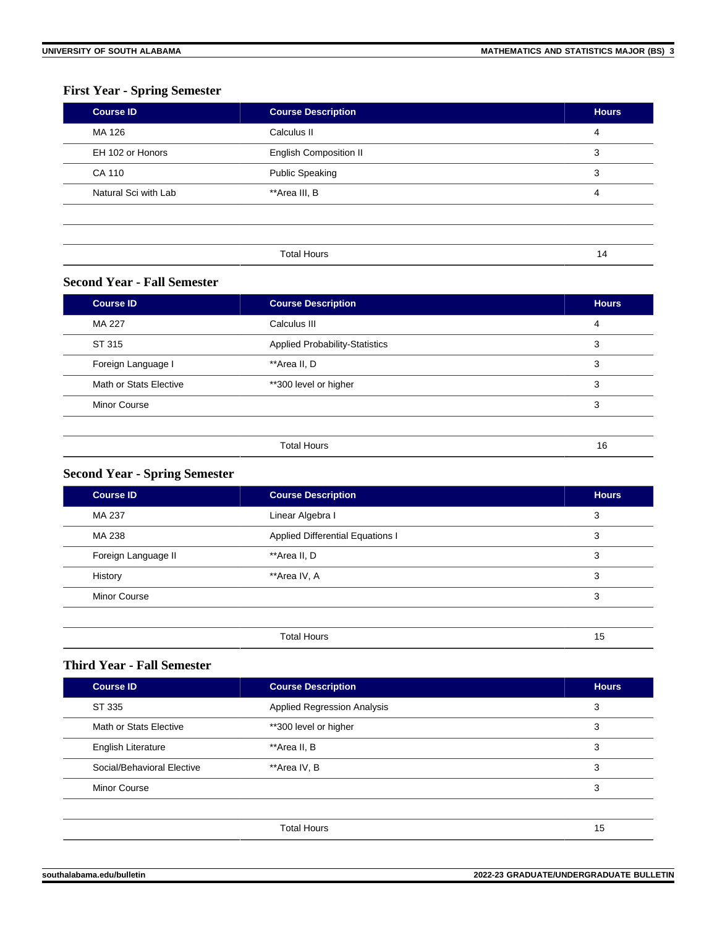# **First Year - Spring Semester**

| <b>Course ID</b>     | <b>Course Description</b>     | <b>Hours</b>   |
|----------------------|-------------------------------|----------------|
| MA 126               | Calculus II                   | $\overline{4}$ |
| EH 102 or Honors     | <b>English Composition II</b> | 3              |
| CA 110               | <b>Public Speaking</b>        | 3              |
| Natural Sci with Lab | **Area III, B                 | 4              |
|                      |                               |                |
|                      |                               |                |
|                      | <b>Total Hours</b>            | 14             |

## **Second Year - Fall Semester**

| <b>Course ID</b>       | <b>Course Description</b>             | <b>Hours</b> |
|------------------------|---------------------------------------|--------------|
| MA 227                 | Calculus III                          | 4            |
| ST 315                 | <b>Applied Probability-Statistics</b> | 3            |
| Foreign Language I     | **Area II, D                          | 3            |
| Math or Stats Elective | **300 level or higher                 | 3            |
| <b>Minor Course</b>    |                                       | 3            |
|                        |                                       |              |
|                        | <b>Total Hours</b>                    | 16           |

# **Second Year - Spring Semester**

| <b>Course ID</b>    | <b>Course Description</b>               | <b>Hours</b> |
|---------------------|-----------------------------------------|--------------|
| MA 237              | Linear Algebra I                        | 3            |
| MA 238              | <b>Applied Differential Equations I</b> | 3            |
| Foreign Language II | **Area II, D                            | 3            |
| History             | **Area IV, A                            | 3            |
| <b>Minor Course</b> |                                         | 3            |
|                     |                                         |              |
|                     | <b>Total Hours</b>                      | 15           |

# **Third Year - Fall Semester**

| <b>Course ID</b>           | <b>Course Description</b>          | <b>Hours</b> |
|----------------------------|------------------------------------|--------------|
| ST 335                     | <b>Applied Regression Analysis</b> | 3            |
| Math or Stats Elective     | **300 level or higher              | 3            |
| <b>English Literature</b>  | **Area II, B                       | 3            |
| Social/Behavioral Elective | **Area IV, B                       | 3            |
| <b>Minor Course</b>        |                                    | 3            |
|                            |                                    |              |
|                            | <b>Total Hours</b>                 | 15           |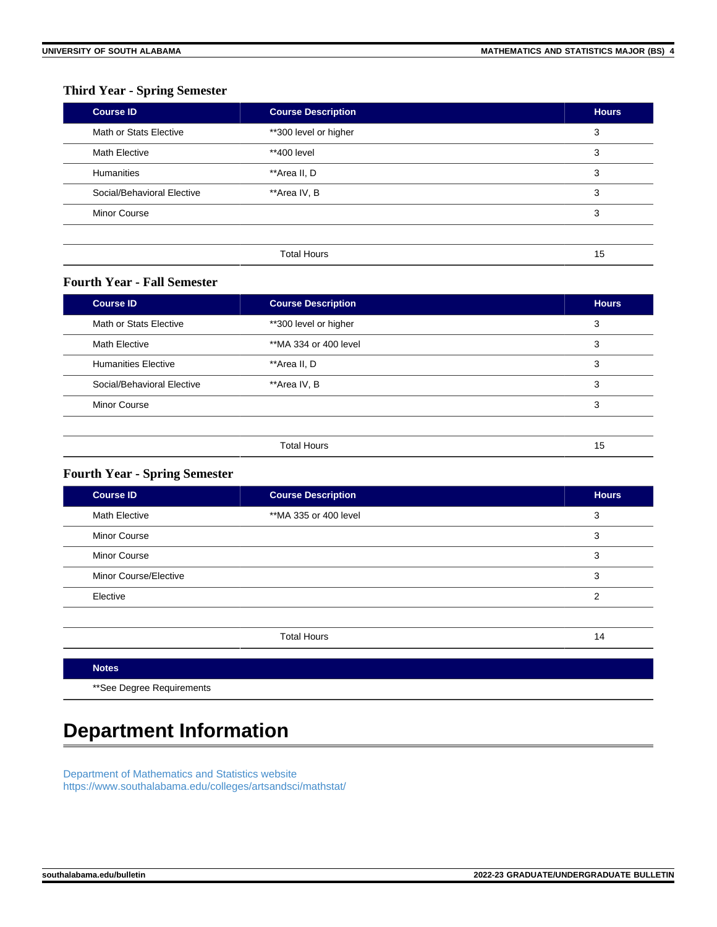# **Third Year - Spring Semester**

| <b>Course ID</b>           | <b>Course Description</b> | <b>Hours</b> |
|----------------------------|---------------------------|--------------|
| Math or Stats Elective     | **300 level or higher     | 3            |
| <b>Math Elective</b>       | **400 level               | 3            |
| <b>Humanities</b>          | **Area II, D              | 3            |
| Social/Behavioral Elective | **Area IV, B              | 3            |
| <b>Minor Course</b>        |                           | 3            |
|                            |                           |              |
|                            | <b>Total Hours</b>        | 15           |

#### **Fourth Year - Fall Semester**

| <b>Course ID</b>           | <b>Course Description</b> | <b>Hours</b> |
|----------------------------|---------------------------|--------------|
| Math or Stats Elective     | **300 level or higher     | 3            |
| <b>Math Elective</b>       | **MA 334 or 400 level     | 3            |
| <b>Humanities Elective</b> | **Area II, D              | 3            |
| Social/Behavioral Elective | **Area IV, B              | 3            |
| <b>Minor Course</b>        |                           | 3            |
|                            |                           |              |
|                            | <b>Total Hours</b>        | 15           |

## **Fourth Year - Spring Semester**

| <b>Course ID</b>      | <b>Course Description</b> | <b>Hours</b> |
|-----------------------|---------------------------|--------------|
| <b>Math Elective</b>  | **MA 335 or 400 level     | 3            |
| <b>Minor Course</b>   |                           | 3            |
| <b>Minor Course</b>   |                           | 3            |
| Minor Course/Elective |                           | 3            |
| Elective              |                           | 2            |
|                       |                           |              |
|                       | <b>Total Hours</b>        | 14           |

#### **Notes**

\*\*See Degree Requirements

# **Department Information**

[Department of Mathematics and Statistics website](https://www.southalabama.edu/colleges/artsandsci/mathstat/) [https://www.southalabama.edu/colleges/artsandsci/mathstat/](https://www.southalabama.edu/colleges/artsandsci/mathstat)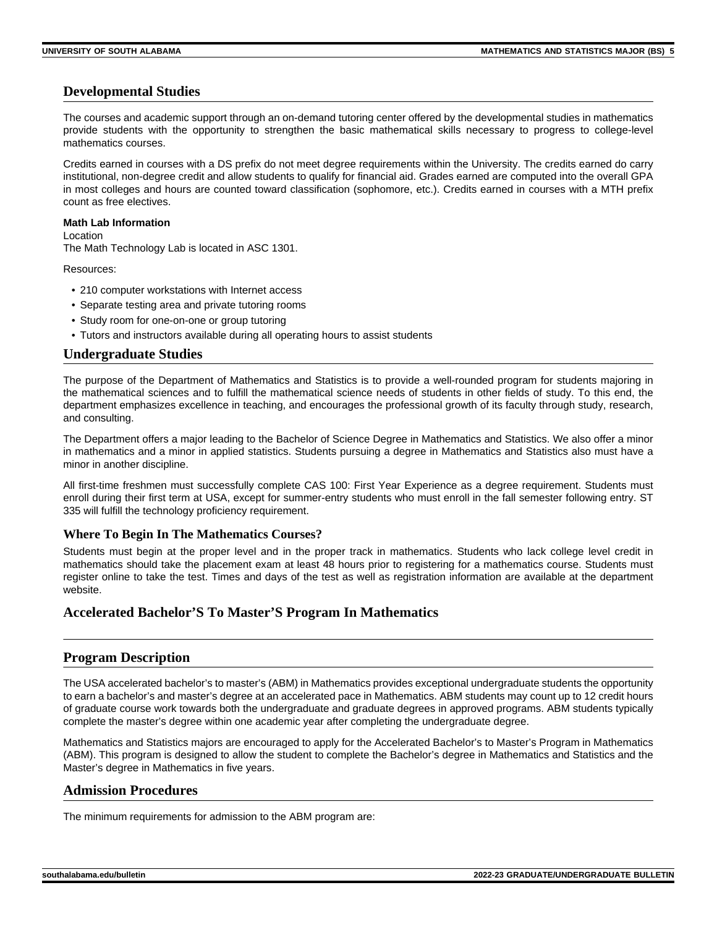# **Developmental Studies**

The courses and academic support through an on-demand tutoring center offered by the developmental studies in mathematics provide students with the opportunity to strengthen the basic mathematical skills necessary to progress to college-level mathematics courses.

Credits earned in courses with a DS prefix do not meet degree requirements within the University. The credits earned do carry institutional, non-degree credit and allow students to qualify for financial aid. Grades earned are computed into the overall GPA in most colleges and hours are counted toward classification (sophomore, etc.). Credits earned in courses with a MTH prefix count as free electives.

#### **Math Lab Information**

Location The Math Technology Lab is located in ASC 1301.

Resources:

- 210 computer workstations with Internet access
- Separate testing area and private tutoring rooms
- Study room for one-on-one or group tutoring
- Tutors and instructors available during all operating hours to assist students

#### **Undergraduate Studies**

The purpose of the Department of Mathematics and Statistics is to provide a well-rounded program for students majoring in the mathematical sciences and to fulfill the mathematical science needs of students in other fields of study. To this end, the department emphasizes excellence in teaching, and encourages the professional growth of its faculty through study, research, and consulting.

The Department offers a major leading to the Bachelor of Science Degree in Mathematics and Statistics. We also offer a minor in mathematics and a minor in applied statistics. Students pursuing a degree in Mathematics and Statistics also must have a minor in another discipline.

All first-time freshmen must successfully complete CAS 100: First Year Experience as a degree requirement. Students must enroll during their first term at USA, except for summer-entry students who must enroll in the fall semester following entry. ST 335 will fulfill the technology proficiency requirement.

#### **Where To Begin In The Mathematics Courses?**

Students must begin at the proper level and in the proper track in mathematics. Students who lack college level credit in mathematics should take the placement exam at least 48 hours prior to registering for a mathematics course. Students must register online to take the test. Times and days of the test as well as registration information are available at the department website.

#### **Accelerated Bachelor'S To Master'S Program In Mathematics**

#### **Program Description**

The USA accelerated bachelor's to master's (ABM) in Mathematics provides exceptional undergraduate students the opportunity to earn a bachelor's and master's degree at an accelerated pace in Mathematics. ABM students may count up to 12 credit hours of graduate course work towards both the undergraduate and graduate degrees in approved programs. ABM students typically complete the master's degree within one academic year after completing the undergraduate degree.

Mathematics and Statistics majors are encouraged to apply for the Accelerated Bachelor's to Master's Program in Mathematics (ABM). This program is designed to allow the student to complete the Bachelor's degree in Mathematics and Statistics and the Master's degree in Mathematics in five years.

#### **Admission Procedures**

The minimum requirements for admission to the ABM program are: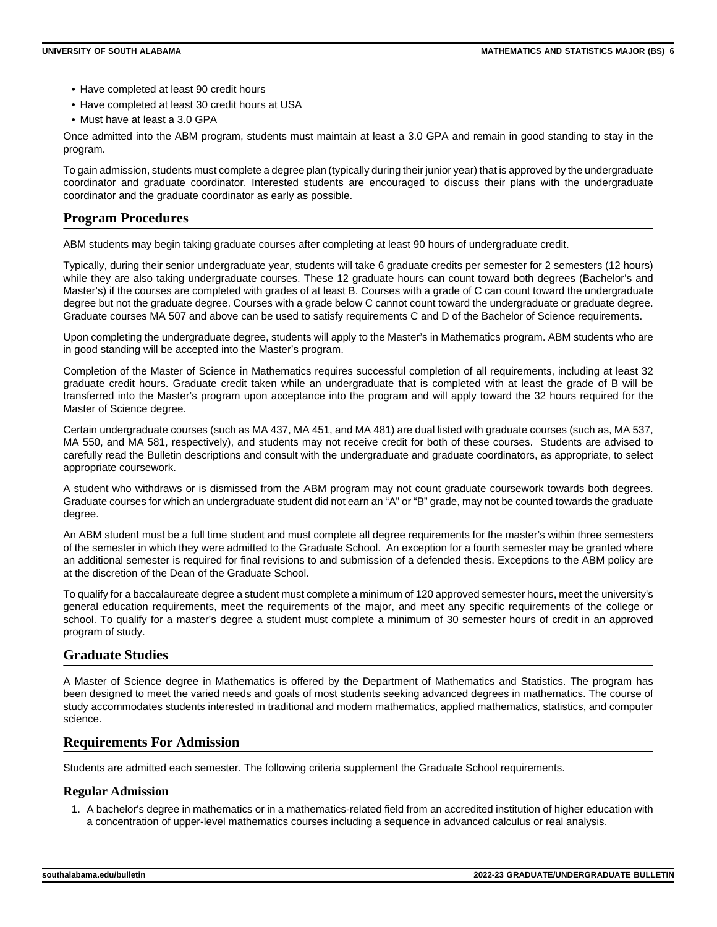- Have completed at least 90 credit hours
- Have completed at least 30 credit hours at USA
- Must have at least a 3.0 GPA

Once admitted into the ABM program, students must maintain at least a 3.0 GPA and remain in good standing to stay in the program.

To gain admission, students must complete a degree plan (typically during their junior year) that is approved by the undergraduate coordinator and graduate coordinator. Interested students are encouraged to discuss their plans with the undergraduate coordinator and the graduate coordinator as early as possible.

## **Program Procedures**

ABM students may begin taking graduate courses after completing at least 90 hours of undergraduate credit.

Typically, during their senior undergraduate year, students will take 6 graduate credits per semester for 2 semesters (12 hours) while they are also taking undergraduate courses. These 12 graduate hours can count toward both degrees (Bachelor's and Master's) if the courses are completed with grades of at least B. Courses with a grade of C can count toward the undergraduate degree but not the graduate degree. Courses with a grade below C cannot count toward the undergraduate or graduate degree. Graduate courses MA 507 and above can be used to satisfy requirements C and D of the Bachelor of Science requirements.

Upon completing the undergraduate degree, students will apply to the Master's in Mathematics program. ABM students who are in good standing will be accepted into the Master's program.

Completion of the Master of Science in Mathematics requires successful completion of all requirements, including at least 32 graduate credit hours. Graduate credit taken while an undergraduate that is completed with at least the grade of B will be transferred into the Master's program upon acceptance into the program and will apply toward the 32 hours required for the Master of Science degree.

Certain undergraduate courses (such as MA 437, MA 451, and MA 481) are dual listed with graduate courses (such as, MA 537, MA 550, and MA 581, respectively), and students may not receive credit for both of these courses. Students are advised to carefully read the Bulletin descriptions and consult with the undergraduate and graduate coordinators, as appropriate, to select appropriate coursework.

A student who withdraws or is dismissed from the ABM program may not count graduate coursework towards both degrees. Graduate courses for which an undergraduate student did not earn an "A" or "B" grade, may not be counted towards the graduate degree.

An ABM student must be a full time student and must complete all degree requirements for the master's within three semesters of the semester in which they were admitted to the Graduate School. An exception for a fourth semester may be granted where an additional semester is required for final revisions to and submission of a defended thesis. Exceptions to the ABM policy are at the discretion of the Dean of the Graduate School.

To qualify for a baccalaureate degree a student must complete a minimum of 120 approved semester hours, meet the university's general education requirements, meet the requirements of the major, and meet any specific requirements of the college or school. To qualify for a master's degree a student must complete a minimum of 30 semester hours of credit in an approved program of study.

#### **Graduate Studies**

A Master of Science degree in Mathematics is offered by the Department of Mathematics and Statistics. The program has been designed to meet the varied needs and goals of most students seeking advanced degrees in mathematics. The course of study accommodates students interested in traditional and modern mathematics, applied mathematics, statistics, and computer science.

#### **Requirements For Admission**

Students are admitted each semester. The following criteria supplement the Graduate School requirements.

#### **Regular Admission**

1. A bachelor's degree in mathematics or in a mathematics-related field from an accredited institution of higher education with a concentration of upper-level mathematics courses including a sequence in advanced calculus or real analysis.